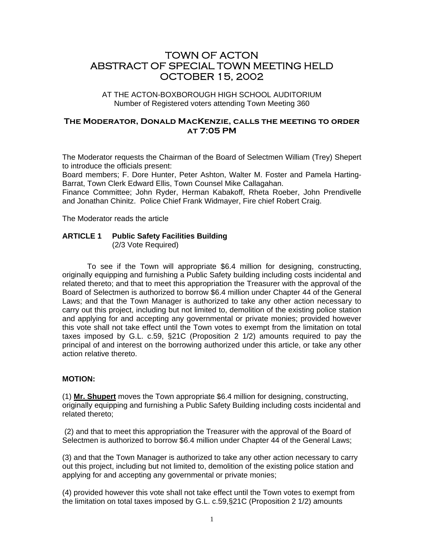# TOWN OF ACTON ABSTRACT OF SPECIAL TOWN MEETING HELD OCTOBER 15, 2002

AT THE ACTON-BOXBOROUGH HIGH SCHOOL AUDITORIUM Number of Registered voters attending Town Meeting 360

# **The Moderator, Donald MacKenzie, calls the meeting to order at 7:05 PM**

The Moderator requests the Chairman of the Board of Selectmen William (Trey) Shepert to introduce the officials present:

Board members; F. Dore Hunter, Peter Ashton, Walter M. Foster and Pamela Harting-Barrat, Town Clerk Edward Ellis, Town Counsel Mike Callagahan.

Finance Committee; John Ryder, Herman Kabakoff, Rheta Roeber, John Prendivelle and Jonathan Chinitz. Police Chief Frank Widmayer, Fire chief Robert Craig.

The Moderator reads the article

# **ARTICLE 1 Public Safety Facilities Building**

(2/3 Vote Required)

To see if the Town will appropriate \$6.4 million for designing, constructing, originally equipping and furnishing a Public Safety building including costs incidental and related thereto; and that to meet this appropriation the Treasurer with the approval of the Board of Selectmen is authorized to borrow \$6.4 million under Chapter 44 of the General Laws; and that the Town Manager is authorized to take any other action necessary to carry out this project, including but not limited to, demolition of the existing police station and applying for and accepting any governmental or private monies; provided however this vote shall not take effect until the Town votes to exempt from the limitation on total taxes imposed by G.L. c.59, §21C (Proposition 2 1/2) amounts required to pay the principal of and interest on the borrowing authorized under this article, or take any other action relative thereto.

### **MOTION:**

(1) **Mr. Shupert** moves the Town appropriate \$6.4 million for designing, constructing, originally equipping and furnishing a Public Safety Building including costs incidental and related thereto;

 (2) and that to meet this appropriation the Treasurer with the approval of the Board of Selectmen is authorized to borrow \$6.4 million under Chapter 44 of the General Laws;

(3) and that the Town Manager is authorized to take any other action necessary to carry out this project, including but not limited to, demolition of the existing police station and applying for and accepting any governmental or private monies;

(4) provided however this vote shall not take effect until the Town votes to exempt from the limitation on total taxes imposed by G.L. c.59,§21C (Proposition 2 1/2) amounts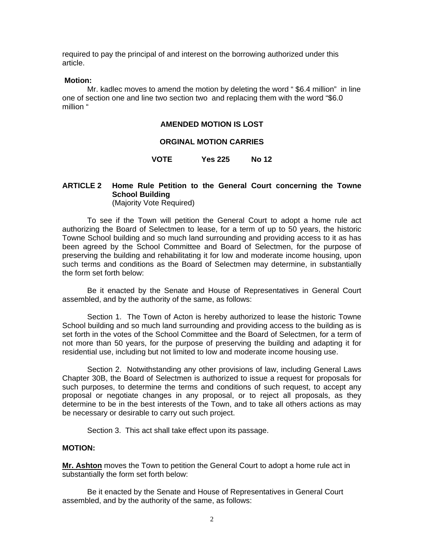required to pay the principal of and interest on the borrowing authorized under this article.

#### **Motion:**

 Mr. kadlec moves to amend the motion by deleting the word " \$6.4 million" in line one of section one and line two section two and replacing them with the word "\$6.0 million "

#### **AMENDED MOTION IS LOST**

#### **ORGINAL MOTION CARRIES**

#### **VOTE Yes 225 No 12**

#### **ARTICLE 2 Home Rule Petition to the General Court concerning the Towne School Building** (Majority Vote Required)

 To see if the Town will petition the General Court to adopt a home rule act authorizing the Board of Selectmen to lease, for a term of up to 50 years, the historic Towne School building and so much land surrounding and providing access to it as has been agreed by the School Committee and Board of Selectmen, for the purpose of preserving the building and rehabilitating it for low and moderate income housing, upon such terms and conditions as the Board of Selectmen may determine, in substantially the form set forth below:

 Be it enacted by the Senate and House of Representatives in General Court assembled, and by the authority of the same, as follows:

 Section 1. The Town of Acton is hereby authorized to lease the historic Towne School building and so much land surrounding and providing access to the building as is set forth in the votes of the School Committee and the Board of Selectmen, for a term of not more than 50 years, for the purpose of preserving the building and adapting it for residential use, including but not limited to low and moderate income housing use.

 Section 2. Notwithstanding any other provisions of law, including General Laws Chapter 30B, the Board of Selectmen is authorized to issue a request for proposals for such purposes, to determine the terms and conditions of such request, to accept any proposal or negotiate changes in any proposal, or to reject all proposals, as they determine to be in the best interests of the Town, and to take all others actions as may be necessary or desirable to carry out such project.

Section 3. This act shall take effect upon its passage.

### **MOTION:**

**Mr. Ashton** moves the Town to petition the General Court to adopt a home rule act in substantially the form set forth below:

 Be it enacted by the Senate and House of Representatives in General Court assembled, and by the authority of the same, as follows: